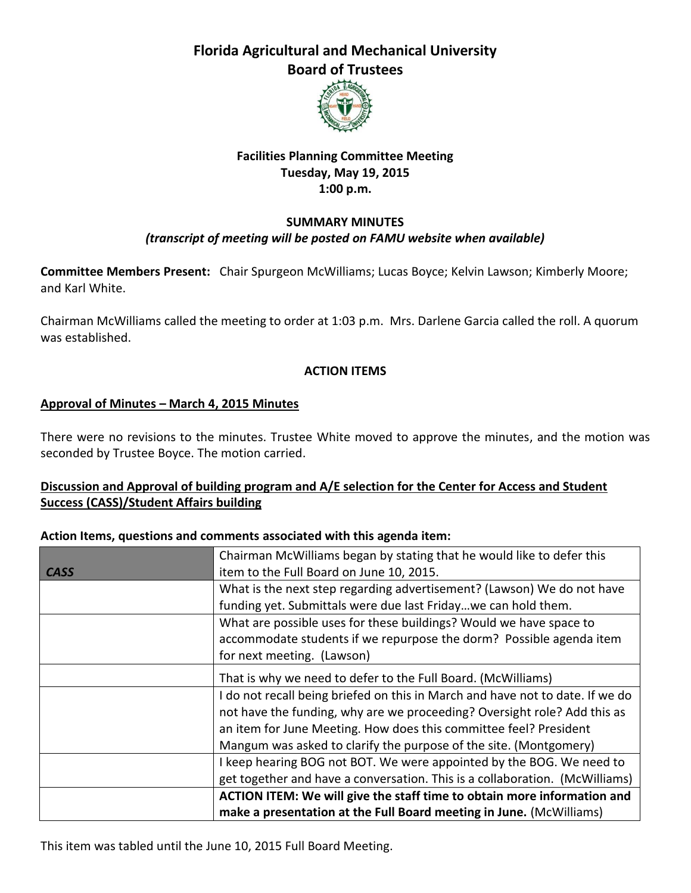# **Florida Agricultural and Mechanical University Board of Trustees**



# **Facilities Planning Committee Meeting Tuesday, May 19, 2015 1:00 p.m.**

#### **SUMMARY MINUTES** *(transcript of meeting will be posted on FAMU website when available)*

**Committee Members Present:** Chair Spurgeon McWilliams; Lucas Boyce; Kelvin Lawson; Kimberly Moore; and Karl White.

Chairman McWilliams called the meeting to order at 1:03 p.m. Mrs. Darlene Garcia called the roll. A quorum was established.

# **ACTION ITEMS**

## **Approval of Minutes – March 4, 2015 Minutes**

There were no revisions to the minutes. Trustee White moved to approve the minutes, and the motion was seconded by Trustee Boyce. The motion carried.

## **Discussion and Approval of building program and A/E selection for the Center for Access and Student Success (CASS)/Student Affairs building**

#### **Action Items, questions and comments associated with this agenda item:**

|             | Chairman McWilliams began by stating that he would like to defer this         |
|-------------|-------------------------------------------------------------------------------|
| <b>CASS</b> | item to the Full Board on June 10, 2015.                                      |
|             | What is the next step regarding advertisement? (Lawson) We do not have        |
|             | funding yet. Submittals were due last Fridaywe can hold them.                 |
|             | What are possible uses for these buildings? Would we have space to            |
|             | accommodate students if we repurpose the dorm? Possible agenda item           |
|             | for next meeting. (Lawson)                                                    |
|             | That is why we need to defer to the Full Board. (McWilliams)                  |
|             | I do not recall being briefed on this in March and have not to date. If we do |
|             | not have the funding, why are we proceeding? Oversight role? Add this as      |
|             | an item for June Meeting. How does this committee feel? President             |
|             | Mangum was asked to clarify the purpose of the site. (Montgomery)             |
|             | I keep hearing BOG not BOT. We were appointed by the BOG. We need to          |
|             | get together and have a conversation. This is a collaboration. (McWilliams)   |
|             | ACTION ITEM: We will give the staff time to obtain more information and       |
|             | make a presentation at the Full Board meeting in June. (McWilliams)           |

This item was tabled until the June 10, 2015 Full Board Meeting.